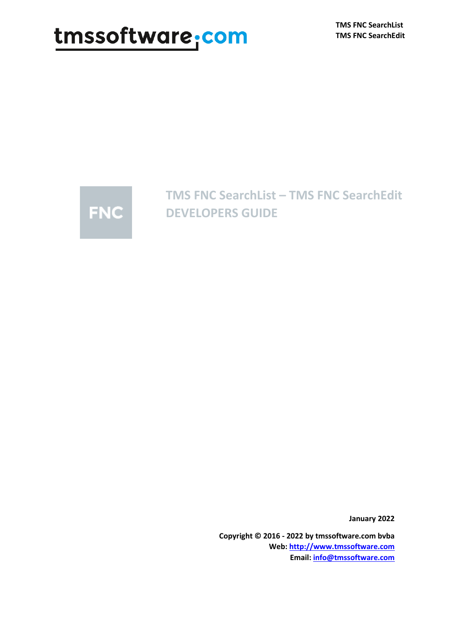# tmssoftware.com



**TMS FNC SearchList – TMS FNC SearchEdit DEVELOPERS GUIDE**

**January 2022**

**Copyright © 2016 - 2022 by tmssoftware.com bvba Web[: http://www.tmssoftware.com](http://www.tmssoftware.com/) Email: [info@tmssoftware.com](mailto:info@tmssoftware.com)**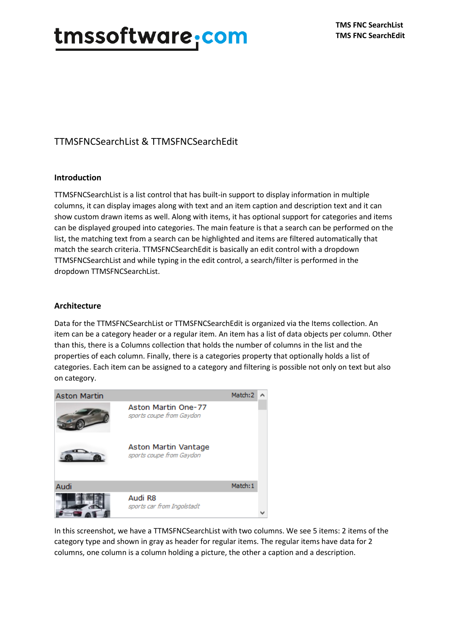### TTMSFNCSearchList & TTMSFNCSearchEdit

### **Introduction**

TTMSFNCSearchList is a list control that has built-in support to display information in multiple columns, it can display images along with text and an item caption and description text and it can show custom drawn items as well. Along with items, it has optional support for categories and items can be displayed grouped into categories. The main feature is that a search can be performed on the list, the matching text from a search can be highlighted and items are filtered automatically that match the search criteria. TTMSFNCSearchEdit is basically an edit control with a dropdown TTMSFNCSearchList and while typing in the edit control, a search/filter is performed in the dropdown TTMSFNCSearchList.

### **Architecture**

Data for the TTMSFNCSearchList or TTMSFNCSearchEdit is organized via the Items collection. An item can be a category header or a regular item. An item has a list of data objects per column. Other than this, there is a Columns collection that holds the number of columns in the list and the properties of each column. Finally, there is a categories property that optionally holds a list of categories. Each item can be assigned to a category and filtering is possible not only on text but also on category.



In this screenshot, we have a TTMSFNCSearchList with two columns. We see 5 items: 2 items of the category type and shown in gray as header for regular items. The regular items have data for 2 columns, one column is a column holding a picture, the other a caption and a description.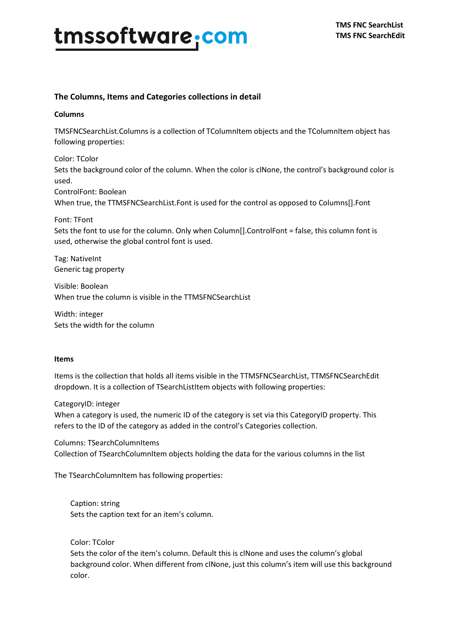### **The Columns, Items and Categories collections in detail**

#### **Columns**

TMSFNCSearchList.Columns is a collection of TColumnItem objects and the TColumnItem object has following properties:

Color: TColor Sets the background color of the column. When the color is clNone, the control's background color is used. ControlFont: Boolean

When true, the TTMSFNCSearchList.Font is used for the control as opposed to Columns[].Font

Font: TFont

Sets the font to use for the column. Only when Column[].ControlFont = false, this column font is used, otherwise the global control font is used.

Tag: NativeInt Generic tag property

Visible: Boolean When true the column is visible in the TTMSFNCSearchList

Width: integer Sets the width for the column

#### **Items**

Items is the collection that holds all items visible in the TTMSFNCSearchList, TTMSFNCSearchEdit dropdown. It is a collection of TSearchListItem objects with following properties:

CategoryID: integer

When a category is used, the numeric ID of the category is set via this CategoryID property. This refers to the ID of the category as added in the control's Categories collection.

Columns: TSearchColumnItems Collection of TSearchColumnItem objects holding the data for the various columns in the list

The TSearchColumnItem has following properties:

Caption: string Sets the caption text for an item's column.

Color: TColor

Sets the color of the item's column. Default this is clNone and uses the column's global background color. When different from clNone, just this column's item will use this background color.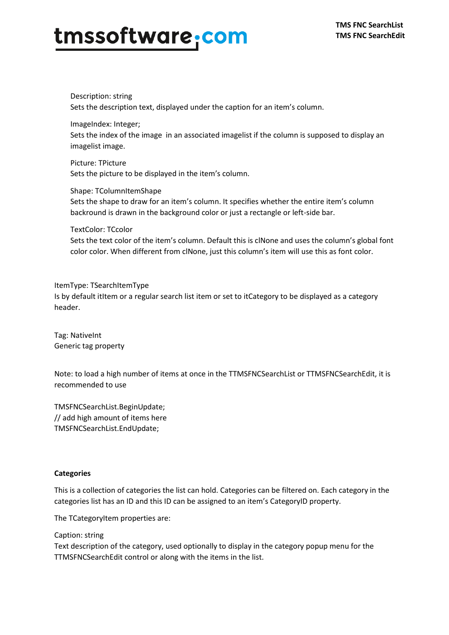Description: string Sets the description text, displayed under the caption for an item's column.

ImageIndex: Integer; Sets the index of the image in an associated imagelist if the column is supposed to display an imagelist image.

Picture: TPicture Sets the picture to be displayed in the item's column.

Shape: TColumnItemShape Sets the shape to draw for an item's column. It specifies whether the entire item's column backround is drawn in the background color or just a rectangle or left-side bar.

#### TextColor: TCcolor

Sets the text color of the item's column. Default this is clNone and uses the column's global font color color. When different from clNone, just this column's item will use this as font color.

#### ItemType: TSearchItemType

Is by default itItem or a regular search list item or set to itCategory to be displayed as a category header.

Tag: NativeInt Generic tag property

Note: to load a high number of items at once in the TTMSFNCSearchList or TTMSFNCSearchEdit, it is recommended to use

TMSFNCSearchList.BeginUpdate; // add high amount of items here TMSFNCSearchList.EndUpdate;

#### **Categories**

This is a collection of categories the list can hold. Categories can be filtered on. Each category in the categories list has an ID and this ID can be assigned to an item's CategoryID property.

The TCategoryItem properties are:

Caption: string

Text description of the category, used optionally to display in the category popup menu for the TTMSFNCSearchEdit control or along with the items in the list.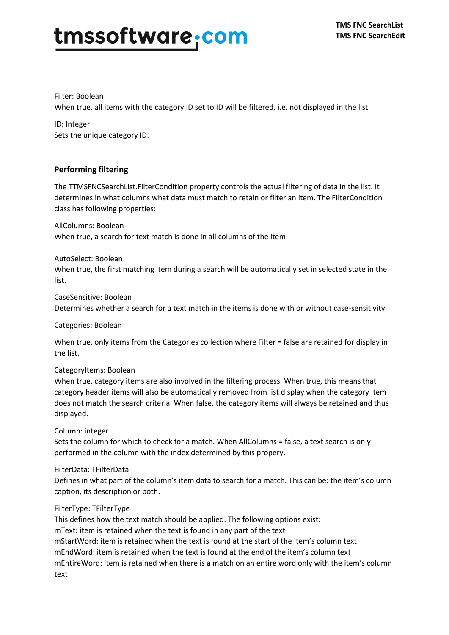Filter: Boolean When true, all items with the category ID set to ID will be filtered, i.e. not displayed in the list.

ID: Integer Sets the unique category ID.

### **Performing filtering**

The TTMSFNCSearchList.FilterCondition property controls the actual filtering of data in the list. It determines in what columns what data must match to retain or filter an item. The FilterCondition class has following properties:

AllColumns: Boolean

When true, a search for text match is done in all columns of the item

### AutoSelect: Boolean

When true, the first matching item during a search will be automatically set in selected state in the list.

CaseSensitive: Boolean Determines whether a search for a text match in the items is done with or without case-sensitivity

Categories: Boolean

When true, only items from the Categories collection where Filter = false are retained for display in the list.

### CategoryItems: Boolean

When true, category items are also involved in the filtering process. When true, this means that category header items will also be automatically removed from list display when the category item does not match the search criteria. When false, the category items will always be retained and thus displayed.

Column: integer

Sets the column for which to check for a match. When AllColumns = false, a text search is only performed in the column with the index determined by this propery.

### FilterData: TFilterData

Defines in what part of the column's item data to search for a match. This can be: the item's column caption, its description or both.

### FilterType: TFilterType

This defines how the text match should be applied. The following options exist:

mText: item is retained when the text is found in any part of the text

mStartWord: item is retained when the text is found at the start of the item's column text mEndWord: item is retained when the text is found at the end of the item's column text mEntireWord: item is retained when there is a match on an entire word only with the item's column text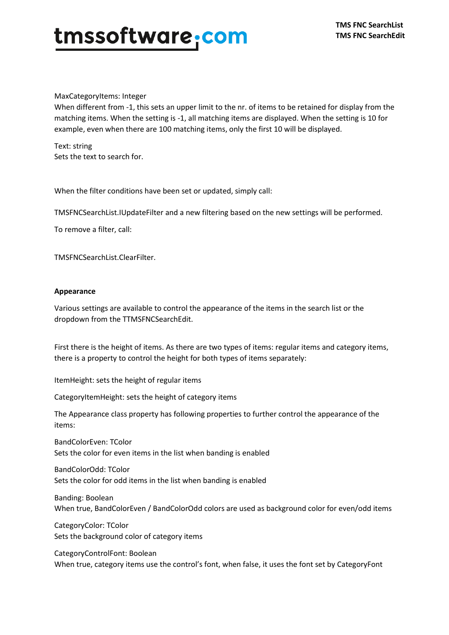#### MaxCategoryItems: Integer

When different from -1, this sets an upper limit to the nr. of items to be retained for display from the matching items. When the setting is -1, all matching items are displayed. When the setting is 10 for example, even when there are 100 matching items, only the first 10 will be displayed.

Text: string Sets the text to search for.

When the filter conditions have been set or updated, simply call:

TMSFNCSearchList.IUpdateFilter and a new filtering based on the new settings will be performed.

To remove a filter, call:

TMSFNCSearchList.ClearFilter.

#### **Appearance**

Various settings are available to control the appearance of the items in the search list or the dropdown from the TTMSFNCSearchEdit.

First there is the height of items. As there are two types of items: regular items and category items, there is a property to control the height for both types of items separately:

ItemHeight: sets the height of regular items

CategoryItemHeight: sets the height of category items

The Appearance class property has following properties to further control the appearance of the items:

BandColorEven: TColor Sets the color for even items in the list when banding is enabled

BandColorOdd: TColor Sets the color for odd items in the list when banding is enabled

Banding: Boolean When true, BandColorEven / BandColorOdd colors are used as background color for even/odd items

CategoryColor: TColor Sets the background color of category items

CategoryControlFont: Boolean When true, category items use the control's font, when false, it uses the font set by CategoryFont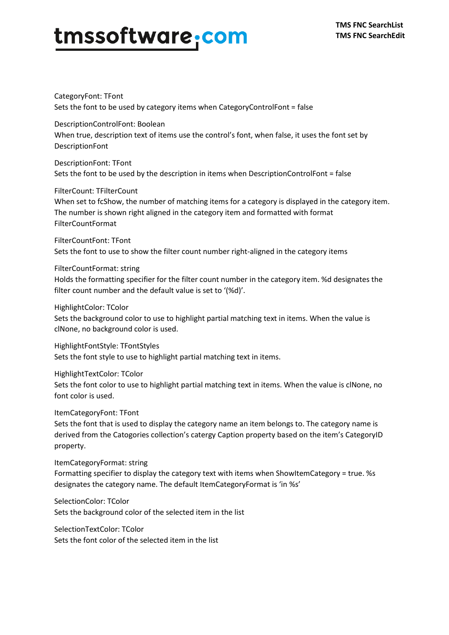# tmssoftware.com

CategoryFont: TFont Sets the font to be used by category items when CategoryControlFont = false

DescriptionControlFont: Boolean When true, description text of items use the control's font, when false, it uses the font set by DescriptionFont

DescriptionFont: TFont Sets the font to be used by the description in items when DescriptionControlFont = false

FilterCount: TFilterCount When set to fcShow, the number of matching items for a category is displayed in the category item. The number is shown right aligned in the category item and formatted with format FilterCountFormat

FilterCountFont: TFont Sets the font to use to show the filter count number right-aligned in the category items

FilterCountFormat: string

Holds the formatting specifier for the filter count number in the category item. %d designates the filter count number and the default value is set to '(%d)'.

HighlightColor: TColor

Sets the background color to use to highlight partial matching text in items. When the value is clNone, no background color is used.

HighlightFontStyle: TFontStyles Sets the font style to use to highlight partial matching text in items.

HighlightTextColor: TColor Sets the font color to use to highlight partial matching text in items. When the value is clNone, no font color is used.

ItemCategoryFont: TFont

Sets the font that is used to display the category name an item belongs to. The category name is derived from the Catogories collection's catergy Caption property based on the item's CategoryID property.

ItemCategoryFormat: string

Formatting specifier to display the category text with items when ShowItemCategory = true. %s designates the category name. The default ItemCategoryFormat is 'in %s'

SelectionColor: TColor Sets the background color of the selected item in the list

SelectionTextColor: TColor Sets the font color of the selected item in the list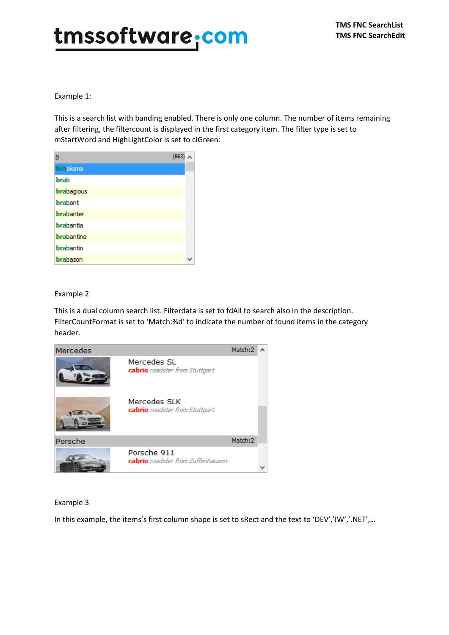Example 1:

This is a search list with banding enabled. There is only one column. The number of items remaining after filtering, the filtercount is displayed in the first category item. The filter type is set to mStartWord and HighLightColor is set to clGreen:

| в                 | (863) |  |
|-------------------|-------|--|
| <b>braaksma</b>   |       |  |
| <b>brab</b>       |       |  |
| brabagious        |       |  |
| <b>brabant</b>    |       |  |
| <b>brabanter</b>  |       |  |
| brabantia         |       |  |
| <b>brabantine</b> |       |  |
| brabantio         |       |  |
| brabazon          |       |  |

### Example 2

This is a dual column search list. Filterdata is set to fdAll to search also in the description. FilterCountFormat is set to 'Match:%d' to indicate the number of found items in the category header.



### Example 3

In this example, the items's first column shape is set to sRect and the text to 'DEV','IW','.NET',…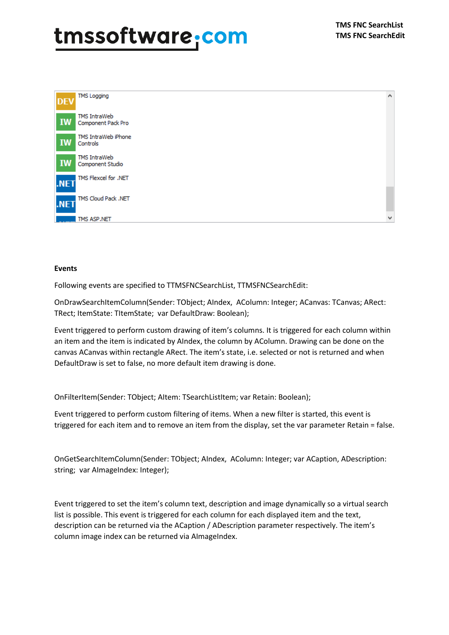

#### **Events**

Following events are specified to TTMSFNCSearchList, TTMSFNCSearchEdit:

OnDrawSearchItemColumn(Sender: TObject; AIndex, AColumn: Integer; ACanvas: TCanvas; ARect: TRect; ItemState: TItemState; var DefaultDraw: Boolean);

Event triggered to perform custom drawing of item's columns. It is triggered for each column within an item and the item is indicated by AIndex, the column by AColumn. Drawing can be done on the canvas ACanvas within rectangle ARect. The item's state, i.e. selected or not is returned and when DefaultDraw is set to false, no more default item drawing is done.

OnFilterItem(Sender: TObject; AItem: TSearchListItem; var Retain: Boolean);

Event triggered to perform custom filtering of items. When a new filter is started, this event is triggered for each item and to remove an item from the display, set the var parameter Retain = false.

OnGetSearchItemColumn(Sender: TObject; AIndex, AColumn: Integer; var ACaption, ADescription: string; var AImageIndex: Integer);

Event triggered to set the item's column text, description and image dynamically so a virtual search list is possible. This event is triggered for each column for each displayed item and the text, description can be returned via the ACaption / ADescription parameter respectively. The item's column image index can be returned via AImageIndex.